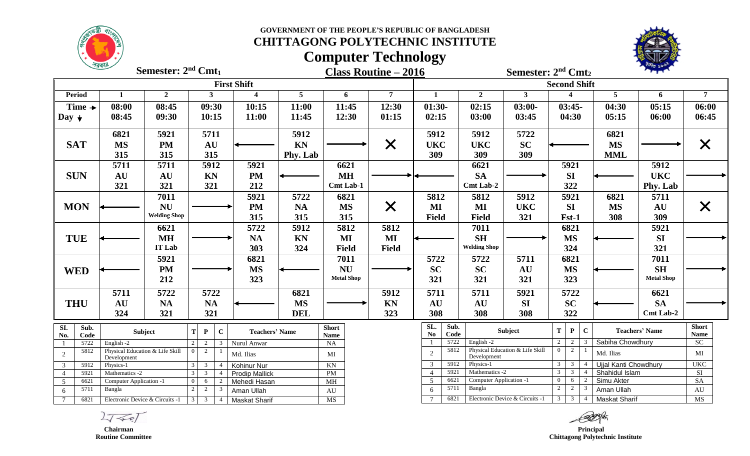**GOVERNMENT OF THE PEOPLE'S REPUBLIC OF BANGLADESH**



### **CHITTAGONG POLYTECHNIC INSTITUTE**

# **Computer Technology**



**Class Routine – 2016 Semester: 2<sup>nd</sup> Cmt<sub>2</sub> : 2nd Cmt<sup>1</sup>**

|                  |                    |                                               |                     |                          |                |                | <b>First Shift</b>      |            |                        |                |                |              |                                           |                                 | <b>Second Shift</b>             |                     |                                         |                              |                       |                |  |
|------------------|--------------------|-----------------------------------------------|---------------------|--------------------------|----------------|----------------|-------------------------|------------|------------------------|----------------|----------------|--------------|-------------------------------------------|---------------------------------|---------------------------------|---------------------|-----------------------------------------|------------------------------|-----------------------|----------------|--|
| <b>Period</b>    |                    | $\mathbf{1}$                                  | $\overline{2}$      |                          | 3              |                | $\overline{\mathbf{4}}$ | 5          | 6                      | $\overline{7}$ | $\mathbf{1}$   |              | $\overline{2}$                            | $\mathbf{3}$                    |                                 |                     |                                         | 5                            | 6                     | $\overline{7}$ |  |
|                  | Time $\rightarrow$ | 08:00                                         | 08:45               |                          | 09:30          |                | 10:15                   | 11:00      | 11:45                  | 12:30          | $01:30-$       |              | 02:15                                     | $03:00-$                        |                                 | $03:45-$            |                                         | 04:30                        | 05:15                 | 06:00          |  |
| Day $\downarrow$ |                    | 08:45                                         | 09:30               |                          | 10:15          |                | 11:00                   | 11:45      | 12:30                  | 01:15          | 02:15          |              | 03:00                                     | 03:45                           |                                 | 04:30               |                                         | 05:15                        | 06:00                 | 06:45          |  |
|                  |                    |                                               |                     |                          |                |                |                         |            |                        |                |                |              |                                           |                                 |                                 |                     |                                         |                              |                       |                |  |
|                  |                    | 6821                                          | 5921                |                          | 5711           |                |                         | 5912       |                        |                | 5912           |              | 5912                                      | 5722                            |                                 |                     |                                         | 6821                         |                       |                |  |
| <b>SAT</b>       |                    | <b>MS</b>                                     | <b>PM</b>           |                          | AU             |                |                         | KN         |                        | $\times$       | <b>UKC</b>     |              | <b>UKC</b>                                | <b>SC</b>                       |                                 |                     |                                         | <b>MS</b>                    |                       | X              |  |
|                  |                    | 315                                           | 315                 |                          | 315            |                |                         | Phy. Lab   |                        |                | 309            |              | 309                                       | 309                             |                                 |                     |                                         | <b>MML</b>                   |                       |                |  |
|                  |                    | 5711                                          | 5711                |                          | 5912           |                | 5921                    |            | 6621                   |                |                |              | 6621                                      |                                 |                                 | 5921                |                                         |                              | 5912                  |                |  |
| <b>SUN</b>       |                    | AU                                            | AU                  |                          | <b>KN</b>      |                | <b>PM</b>               |            | <b>MH</b>              |                |                |              | <b>SA</b>                                 |                                 |                                 | SI                  |                                         |                              | <b>UKC</b>            |                |  |
|                  |                    | 321                                           | 321                 |                          | 321            |                | 212                     |            | Cmt Lab-1              |                |                |              | Cmt Lab-2                                 |                                 |                                 | 322                 |                                         |                              | Phy. Lab              |                |  |
|                  |                    |                                               | 7011                |                          |                |                | 5921                    | 5722       | 6821                   |                | 5812           |              | 5812                                      | 5912                            |                                 | 5921                |                                         | 6821                         | 5711                  |                |  |
| <b>MON</b>       |                    |                                               | <b>NU</b>           |                          |                |                | <b>PM</b>               | <b>NA</b>  | <b>MS</b>              | X              | MI             |              | MI                                        | <b>UKC</b>                      |                                 | <b>SI</b>           |                                         | <b>MS</b>                    | AU                    | X              |  |
|                  |                    |                                               | <b>Welding Shop</b> |                          |                |                | 315                     | 315        | 315                    |                | <b>Field</b>   |              | <b>Field</b>                              | 321                             |                                 | Fst-1               |                                         | 308                          | 309                   |                |  |
|                  |                    |                                               | 6621                |                          |                |                | 5722                    | 5912       | 5812                   | 5812           |                |              | 7011                                      |                                 |                                 | 6821                |                                         |                              | 5921                  |                |  |
| <b>TUE</b>       |                    |                                               | <b>MH</b>           |                          |                |                | <b>NA</b>               | <b>KN</b>  | MI                     | MI             |                |              | <b>SH</b>                                 |                                 |                                 | <b>MS</b>           |                                         |                              | <b>SI</b>             |                |  |
|                  |                    |                                               | <b>IT Lab</b>       |                          |                |                | 303                     | 324        | <b>Field</b>           | <b>Field</b>   |                |              | <b>Welding Shop</b>                       |                                 |                                 | 324                 |                                         |                              | 321                   |                |  |
|                  |                    |                                               | 5921                |                          |                |                | 6821                    |            | 7011                   |                | 5722           |              | 5722                                      | 5711                            |                                 | 6821                |                                         |                              | 7011                  |                |  |
| <b>WED</b>       |                    |                                               | <b>PM</b>           |                          |                |                | <b>MS</b>               |            | NU                     |                | <b>SC</b>      |              | <b>SC</b>                                 | <b>AU</b>                       |                                 | <b>MS</b>           |                                         |                              | <b>SH</b>             |                |  |
|                  |                    |                                               | 212                 |                          |                |                | 323                     |            | <b>Metal Shop</b>      |                | 321            |              | 321                                       | 321                             |                                 | 323                 |                                         |                              | <b>Metal Shop</b>     |                |  |
|                  |                    |                                               |                     |                          |                |                |                         |            |                        |                |                |              |                                           |                                 |                                 |                     |                                         |                              |                       |                |  |
|                  |                    | 5711                                          | 5722                |                          | 5722           |                |                         | 6821       |                        | 5912           | 5711           |              | 5711                                      | 5921                            |                                 | 5722                |                                         |                              | 6621                  |                |  |
| <b>THU</b>       |                    | AU                                            | <b>NA</b>           |                          | <b>NA</b>      |                |                         | <b>MS</b>  |                        | <b>KN</b>      | AU             |              | AU                                        | <b>SI</b>                       |                                 | <b>SC</b>           |                                         |                              | <b>SA</b>             |                |  |
|                  |                    | 324                                           | 321                 |                          | 321            |                |                         | <b>DEL</b> |                        | 323            | 308            |              | 308                                       | 308                             |                                 | 322                 |                                         |                              | Cmt Lab-2             |                |  |
| $\overline{SL}$  | Sub.               |                                               | Subject             | T                        | $\mathbf{P}$   | $\mathbf C$    | <b>Teachers' Name</b>   |            | <b>Short</b>           |                | SL.            | Sub.         |                                           | Subject                         | $\mathbf T$                     | $\mathbf P$         | $\mathbf C$                             |                              | <b>Teachers' Name</b> | <b>Short</b>   |  |
| No.              | Code               |                                               |                     |                          |                |                |                         |            | <b>Name</b>            |                | N <sub>0</sub> | Code<br>5722 | English -2                                |                                 | 2                               | $\overline{2}$      |                                         |                              |                       | Name           |  |
|                  | 5722<br>5812       | English -2<br>Physical Education & Life Skill |                     | <sup>2</sup><br>$\Omega$ | 2<br>2         | 3              | Nurul Anwar             |            | NA                     |                |                | 5812         |                                           | Physical Education & Life Skill | $\overline{0}$                  | 2                   |                                         | Sabiha Chowdhury             |                       | SC             |  |
| $\sqrt{2}$       |                    | Development                                   |                     |                          |                |                | Md. Ilias               |            | MI                     |                | 2              |              | Development                               |                                 |                                 |                     |                                         | Md. Ilias                    |                       | MI             |  |
| 3                | 5912               | Physics-1                                     |                     |                          | 3              | $\overline{4}$ | Kohinur Nur             |            | KN                     |                | 3              | 5912         | Physics-1                                 |                                 | 3                               | $\overline{3}$      |                                         | Ujjal Kanti Chowdhury        |                       | <b>UKC</b>     |  |
| $\overline{4}$   | 5921               | Mathematics -2                                |                     | $\mathcal{R}$            | 3              |                | <b>Prodip Mallick</b>   |            | PM                     |                | -5             | 5921<br>6621 | Mathematics -2<br>Computer Application -1 |                                 | $\mathcal{E}$<br>$\overline{0}$ | $\overline{3}$<br>6 | $\boldsymbol{\Lambda}$<br>$\mathcal{D}$ | Shahidul Islam<br>Simu Akter |                       | SI<br>SA       |  |
| $5\overline{)}$  | 6621<br>5711       | Computer Application -1<br>Bangla             |                     | $\Omega$                 | 6<br>2         | 2              | Mehedi Hasan            |            | M <sub>H</sub>         |                | 6              | 5711         | Bangla                                    |                                 | 2                               | 2                   | 3                                       | Aman Ullah                   |                       | AU             |  |
| 6                |                    |                                               |                     |                          |                |                | Aman Ullah              |            | $\mathbf{A}\mathbf{U}$ |                | $\overline{7}$ | 6821         |                                           | Electronic Device & Circuits -1 | $\mathbf{3}$                    | $\overline{3}$      | $\overline{4}$                          |                              |                       | <b>MS</b>      |  |
| $\tau$           | 6821               | Electronic Device & Circuits -1               |                     | $\overline{3}$           | $\overline{3}$ | $\overline{4}$ | <b>Maskat Sharif</b>    |            | $\overline{\text{MS}}$ |                |                |              |                                           |                                 |                                 |                     |                                         | <b>Maskat Sharif</b>         |                       |                |  |

 $2757$ 

 **Chairman Routine Committee**

*Principal*  **Chittagong Polytechnic Institute**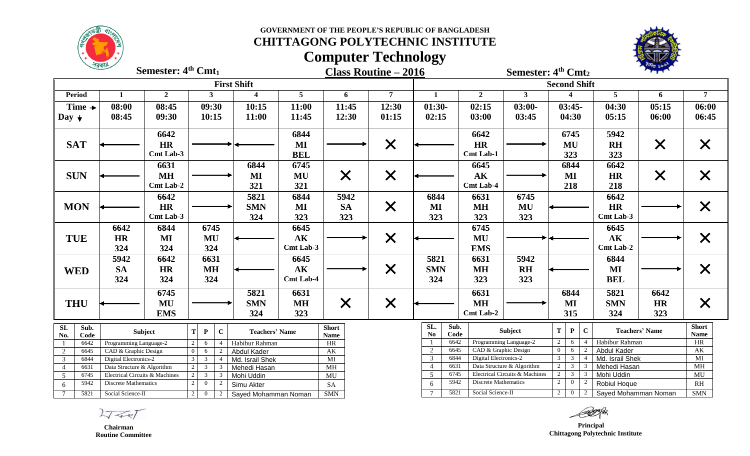**GOVERNMENT OF THE PEOPLE'S REPUBLIC OF BANGLADESH**



### **CHITTAGONG POLYTECHNIC INSTITUTE**

# **Computer Technology**



**Class Routine – 2016 Semester: 4 Semester: 4 th Cmt<sup>2</sup> Semester: 4<sup>th</sup> Cmt<sub>1</sub>** 

|                                  |                    |                                                |                |                     |                |                | <b>First Shift</b>             |                  |                       |                   |                   |                |              |                       |                                |                | <b>Second Shift</b>      |                |                      |                       |                   |  |
|----------------------------------|--------------------|------------------------------------------------|----------------|---------------------|----------------|----------------|--------------------------------|------------------|-----------------------|-------------------|-------------------|----------------|--------------|-----------------------|--------------------------------|----------------|--------------------------|----------------|----------------------|-----------------------|-------------------|--|
| <b>Period</b>                    |                    | 1                                              | $\overline{2}$ |                     | 3              |                | $\boldsymbol{4}$               | 5                |                       | 6                 | $\overline{7}$    | $\mathbf{1}$   |              | $\overline{2}$        | $\mathbf{3}$                   |                |                          |                | 5                    | 6                     | $\overline{7}$    |  |
|                                  | Time $\rightarrow$ | 08:00                                          | 08:45          |                     | 09:30          |                | 10:15                          | 11:00            |                       | 11:45             | 12:30             | $01:30-$       |              | 02:15                 | $03:00-$                       |                | $03:45-$                 |                | 04:30                | 05:15                 | 06:00             |  |
| Day $\downarrow$                 |                    | 08:45                                          | 09:30          |                     | 10:15          |                | 11:00                          | 11:45            |                       | 12:30             | 01:15             | 02:15          |              | 03:00                 | 03:45                          |                | 04:30                    |                | 05:15                | 06:00                 | 06:45             |  |
|                                  |                    |                                                | 6642           |                     |                |                |                                | 6844             |                       |                   |                   |                |              | 6642                  |                                |                | 6745                     |                | 5942                 |                       |                   |  |
| <b>SAT</b>                       |                    |                                                | <b>HR</b>      |                     |                |                |                                | MI               |                       |                   |                   |                |              | <b>HR</b>             |                                |                | MU                       |                | <b>RH</b>            |                       |                   |  |
|                                  |                    |                                                | Cmt Lab-3      |                     |                |                |                                | <b>BEL</b>       |                       |                   | $\bm{\mathsf{X}}$ |                |              | <b>Cmt Lab-1</b>      |                                |                | 323                      |                | 323                  | $\bm{\mathsf{X}}$     | X                 |  |
|                                  |                    |                                                | 6631           |                     |                |                | 6844                           | 6745             |                       |                   |                   |                |              | 6645                  |                                |                | 6844                     |                | 6642                 |                       |                   |  |
| <b>SUN</b>                       |                    |                                                | <b>MH</b>      |                     |                |                | MI                             | MU               |                       |                   |                   |                |              | AK                    |                                |                | MI                       |                | <b>HR</b>            |                       |                   |  |
|                                  |                    |                                                | Cmt Lab-2      |                     |                |                |                                | 321              |                       | $\bm{\mathsf{X}}$ | $\times$          |                |              | <b>Cmt Lab-4</b>      |                                |                | 218                      |                |                      | $\bm{\times}$         | $\bm{\mathsf{X}}$ |  |
|                                  |                    |                                                |                |                     |                |                | 321                            |                  |                       |                   |                   |                |              |                       |                                |                |                          |                | 218                  |                       |                   |  |
|                                  |                    |                                                | 6642           |                     |                |                | 5821                           | 6844             |                       | 5942              |                   | 6844           |              | 6631                  | 6745                           |                |                          |                | 6642                 |                       |                   |  |
| <b>MON</b>                       |                    |                                                | <b>HR</b>      |                     |                |                | <b>SMN</b>                     | MI               |                       | <b>SA</b>         | $\bm{\mathsf{X}}$ | MI             |              | <b>MH</b>             | MU                             |                |                          |                | <b>HR</b>            |                       | $\bm{\mathsf{X}}$ |  |
|                                  |                    |                                                | Cmt Lab-3      |                     |                |                | 324                            | 323              |                       | 323               |                   | 323            |              | 323                   | 323                            |                |                          |                | Cmt Lab-3            |                       |                   |  |
|                                  |                    | 6642                                           | 6844           |                     | 6745           |                |                                | 6645             |                       |                   |                   |                |              | 6745                  |                                |                |                          |                | 6645                 |                       |                   |  |
| <b>TUE</b>                       |                    | <b>HR</b>                                      | MI             |                     | MU             |                |                                | AK               |                       |                   | $\times$          |                |              | MU                    |                                |                |                          |                | AK                   |                       | $\bm{\mathsf{X}}$ |  |
|                                  |                    | 324                                            | 324            |                     | 324            |                |                                | Cmt Lab-3        |                       |                   |                   |                |              | <b>EMS</b>            |                                |                |                          |                | Cmt Lab-2            |                       |                   |  |
|                                  |                    | 5942                                           | 6642           |                     | 6631           |                |                                | 6645             |                       |                   |                   | 5821           |              | 6631                  | 5942                           |                |                          |                | 6844                 |                       |                   |  |
| <b>WED</b>                       |                    | <b>SA</b>                                      | <b>HR</b>      |                     | <b>MH</b>      |                |                                | $\mathbf{AK}$    |                       |                   | $\bm{\times}$     | <b>SMN</b>     |              | <b>MH</b>             | <b>RH</b>                      |                |                          |                | $\bf{MI}$            |                       | X                 |  |
|                                  |                    | 324                                            | 324            |                     | 324            |                |                                | <b>Cmt Lab-4</b> |                       |                   |                   | 324            |              | 323                   | 323                            |                |                          |                | <b>BEL</b>           |                       |                   |  |
|                                  |                    |                                                | 6745           |                     |                |                | 5821                           | 6631             |                       |                   |                   |                |              | 6631                  |                                |                | 6844                     |                | 5821                 | 6642                  |                   |  |
|                                  |                    |                                                |                |                     |                |                |                                |                  |                       |                   |                   |                |              |                       |                                |                |                          |                |                      |                       |                   |  |
| <b>THU</b>                       |                    |                                                | MU             |                     |                |                | <b>SMN</b>                     | <b>MH</b>        |                       | $\bm{\mathsf{X}}$ | $\times$          |                |              | <b>MH</b>             |                                |                | MI                       |                | <b>SMN</b>           | <b>HR</b>             | X                 |  |
|                                  |                    |                                                | <b>EMS</b>     |                     |                |                | 324                            | 323              |                       |                   |                   |                |              | Cmt Lab-2             |                                |                | 315                      |                | 324                  | 323                   |                   |  |
| SI.                              | Sub.               |                                                | Subject        | T.                  | P              | $\mathbf C$    | <b>Teachers' Name</b>          |                  | <b>Short</b>          |                   |                   | SL.            | Sub.         |                       | Subject                        | T              | $\mathbf{P}$             | $\mathbf{C}$   |                      | <b>Teachers' Name</b> | <b>Short</b>      |  |
| No.                              | Code               |                                                |                |                     |                |                |                                |                  | <b>Name</b>           |                   |                   | No             | Code<br>6642 |                       | Programming Language-2         | $\overline{2}$ |                          |                | Habibur Rahman       |                       | <b>Name</b>       |  |
|                                  | 6642<br>6645       | Programming Language-2<br>CAD & Graphic Design |                | 2<br>$\overline{0}$ | 6              | $\overline{4}$ | Habibur Rahman                 |                  | HR                    |                   |                   | $\mathcal{L}$  | 6645         | CAD & Graphic Design  |                                | $\overline{0}$ | 6<br>6                   |                | <b>Abdul Kader</b>   |                       | HR<br>AK          |  |
| $\overline{2}$<br>$\overline{3}$ | 6844               | Digital Electronics-2                          |                | $\mathbf{3}$        | 6<br>3         | 2              | Abdul Kader<br>Md. Israil Shek |                  | AK<br>$\overline{MI}$ |                   |                   | $\mathfrak{Z}$ | 6844         | Digital Electronics-2 |                                | $\overline{3}$ | $\overline{3}$           |                | Md. Israil Shek      |                       | MI                |  |
| $\overline{4}$                   | 6631               | Data Structure & Algorithm                     |                | $2^{\circ}$         | 3              | 3              | Mehedi Hasan                   |                  | <b>MH</b>             |                   |                   |                | 6631         |                       | Data Structure & Algorithm     |                | $2 \mid 3$               | $\overline{3}$ | Mehedi Hasan         |                       | MH                |  |
| 5                                | 6745               | Electrical Circuits & Machines                 |                | $2^{\circ}$         | 3              | 3              | Mohi Uddin                     |                  | $\overline{MU}$       |                   |                   | 5              | 6745         |                       | Electrical Circuits & Machines | $\overline{2}$ | $\overline{\phantom{a}}$ | -3             | Mohi Uddin           |                       | MU                |  |
| 6                                | 5942               | <b>Discrete Mathematics</b>                    |                | $\overline{2}$      | $\Omega$       |                | Simu Akter                     |                  | <b>SA</b>             |                   |                   | 6              | 5942         | Discrete Mathematics  |                                | $\overline{2}$ | $\overline{0}$           |                | Robiul Hoque         |                       | RH                |  |
| $7\overline{ }$                  | 5821               | Social Science-II                              |                | $2^{\circ}$         | $\overline{0}$ | 2              | Sayed Mohamman Noman           |                  | <b>SMN</b>            |                   |                   |                | 5821         | Social Science-II     |                                |                | $2 \quad 0$              | 2              | Sayed Mohamman Noman |                       | <b>SMN</b>        |  |

 **Principal Chittagong Polytechnic Institute**

 $2777$ 

 **Chairman Routine Committee**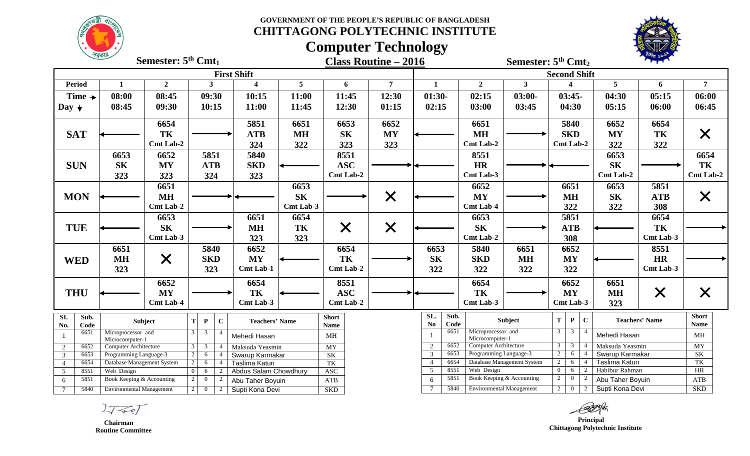**GOVERNMENT OF THE PEOPLE'S REPUBLIC OF BANGLADESH CHITTAGONG POLYTECHNIC INSTITUTE**



# **Computer Technology**



|                                     | 75519                                    | Semester: 5 <sup>th</sup> Cmt <sub>1</sub> |                                    |                |              |                                        |                 |                             | <b>Class Routine – 2016</b> |                                  |              |                                       | Semester: 5 <sup>th</sup> Cmt <sub>2</sub> |                     |                |             |                                  | <b>PORE PAIR</b>      |                             |
|-------------------------------------|------------------------------------------|--------------------------------------------|------------------------------------|----------------|--------------|----------------------------------------|-----------------|-----------------------------|-----------------------------|----------------------------------|--------------|---------------------------------------|--------------------------------------------|---------------------|----------------|-------------|----------------------------------|-----------------------|-----------------------------|
|                                     |                                          |                                            |                                    |                |              | <b>First Shift</b>                     |                 |                             |                             |                                  |              |                                       |                                            | <b>Second Shift</b> |                |             |                                  |                       |                             |
| <b>Period</b>                       | $\mathbf{1}$                             | $\overline{2}$                             |                                    | 3              |              | $\overline{\mathbf{4}}$                | $5\overline{)}$ | 6                           | $\overline{7}$              | $\mathbf{1}$                     |              | $\overline{2}$                        | 3 <sup>1</sup>                             |                     | 4              |             | 5                                | 6                     | $\overline{7}$              |
| Time $\rightarrow$                  | 08:00                                    | 08:45                                      |                                    | 09:30          |              | 10:15                                  | 11:00           | 11:45                       | 12:30                       | $01:30-$                         |              | 02:15                                 | $03:00-$                                   |                     | $03:45-$       |             | 04:30                            | 05:15                 | 06:00                       |
| Day $\downarrow$                    | 08:45                                    | 09:30                                      |                                    | 10:15          |              | 11:00                                  | 11:45           | 12:30                       | 01:15                       | 02:15                            |              | 03:00                                 | 03:45                                      |                     | 04:30          |             | 05:15                            | 06:00                 | 06:45                       |
|                                     |                                          | 6654                                       |                                    |                |              | 5851                                   | 6651            | 6653                        | 6652                        |                                  |              | 6651                                  |                                            |                     | 5840           |             | 6652                             | 6654                  |                             |
| <b>SAT</b>                          |                                          | TK                                         |                                    |                |              | <b>ATB</b>                             | <b>MH</b>       | <b>SK</b>                   | <b>MY</b>                   |                                  |              | <b>MH</b>                             |                                            |                     | <b>SKD</b>     |             | <b>MY</b>                        | TK                    | $\bm{\mathsf{X}}$           |
|                                     |                                          | Cmt Lab-2                                  |                                    |                |              | 324                                    | 322             | 323                         | 323                         |                                  |              | <b>Cmt Lab-2</b>                      |                                            | Cmt Lab-2           |                |             | 322                              | 322                   |                             |
|                                     | 6653                                     | 6652                                       |                                    | 5851           |              | 5840                                   |                 | 8551                        |                             |                                  |              | 8551                                  |                                            |                     |                |             | 6653                             |                       | 6654                        |
| <b>SUN</b>                          | <b>SK</b>                                | <b>MY</b>                                  |                                    | <b>ATB</b>     |              | <b>SKD</b>                             |                 | <b>ASC</b>                  |                             |                                  |              | <b>HR</b>                             |                                            |                     |                |             | <b>SK</b>                        |                       | TK                          |
|                                     | 323                                      | 323                                        |                                    | 324            |              | 323                                    |                 | Cmt Lab-2                   |                             |                                  |              | Cmt Lab-3                             |                                            |                     |                |             | Cmt Lab-2                        |                       | <b>Cmt Lab-2</b>            |
|                                     |                                          | 6651                                       |                                    |                |              |                                        | 6653            |                             |                             |                                  |              | 6652                                  |                                            |                     | 6651           |             | 6653                             | 5851                  |                             |
| <b>MON</b>                          |                                          | <b>MH</b>                                  |                                    |                |              |                                        | <b>SK</b>       |                             | $\times$                    |                                  |              | <b>MY</b>                             |                                            |                     | <b>MH</b>      |             | <b>SK</b>                        | <b>ATB</b>            | X                           |
|                                     |                                          | Cmt Lab-2                                  |                                    |                |              |                                        | Cmt Lab-3       |                             |                             |                                  |              | <b>Cmt Lab-4</b>                      |                                            |                     | 322            |             | 322                              | 308                   |                             |
|                                     |                                          | 6653                                       |                                    |                |              | 6651                                   | 6654            |                             |                             |                                  |              | 6653                                  |                                            |                     | 5851           |             |                                  | 6654                  |                             |
| <b>TUE</b>                          |                                          | <b>SK</b>                                  |                                    |                |              | <b>MH</b>                              | TK              | $\times$                    | $\times$                    |                                  |              | <b>SK</b>                             |                                            |                     | ATB            |             |                                  | TK                    |                             |
|                                     |                                          | Cmt Lab-3                                  |                                    |                |              | 323                                    | 323             |                             |                             |                                  |              | Cmt Lab-2                             |                                            |                     | 308            |             |                                  | Cmt Lab-3             |                             |
|                                     | 6651                                     |                                            |                                    | 5840           |              | 6652                                   |                 | 6654                        |                             | 6653                             |              | 5840                                  | 6651                                       |                     | 6652           |             |                                  | 8551                  |                             |
| <b>WED</b>                          | <b>MH</b>                                | X                                          |                                    | <b>SKD</b>     |              | <b>MY</b>                              |                 | TK                          |                             | <b>SK</b>                        |              | <b>SKD</b>                            | <b>MH</b>                                  |                     | <b>MY</b>      |             |                                  | <b>HR</b>             |                             |
|                                     | 323                                      |                                            |                                    | 323            |              | <b>Cmt Lab-1</b>                       |                 | Cmt Lab-2                   |                             | 322                              |              | 322                                   | 322                                        |                     | 322            |             |                                  | Cmt Lab-3             |                             |
|                                     |                                          | 6652                                       |                                    |                |              | 6654                                   |                 | 8551                        |                             |                                  |              | 6654                                  |                                            |                     | 6652           |             | 6651                             |                       |                             |
| <b>THU</b>                          |                                          | <b>MY</b>                                  |                                    |                |              | TK                                     |                 | <b>ASC</b>                  |                             |                                  |              | TK                                    |                                            |                     | <b>MY</b>      |             | <b>MH</b>                        | $\times$              | X                           |
|                                     |                                          | <b>Cmt Lab-4</b>                           |                                    |                |              | Cmt Lab-3                              |                 | <b>Cmt Lab-2</b>            |                             |                                  |              | Cmt Lab-3                             |                                            |                     | Cmt Lab-3      |             | 323                              |                       |                             |
| SI.<br>Sub.<br>No.<br>Code          |                                          | Subject                                    | $\bf{T}$                           | $\mathbf{P}$   | $\mathbf{C}$ | <b>Teachers' Name</b>                  |                 | <b>Short</b><br><b>Name</b> |                             | SL.<br><b>No</b>                 | Sub.<br>Code |                                       | Subject                                    | T                   | $\mathbf{P}$   | $\mathbf C$ |                                  | <b>Teachers' Name</b> | <b>Short</b><br><b>Name</b> |
| 6651<br>-1                          | Microprocessor and<br>Microcomputer-1    |                                            | $\mathbf{3}$                       | $\mathbf{3}$   |              | Mehedi Hasan                           |                 | MH                          |                             |                                  | 6651         | Microprocessor and<br>Microcomputer-1 |                                            | 3 <sup>1</sup>      | $\overline{3}$ |             | Mehedi Hasan                     |                       | MH                          |
| 2<br>6652                           | Computer Architecture                    |                                            | $\mathfrak{Z}$                     | $\mathfrak{Z}$ |              | Maksuda Yeasmin                        |                 | $\overline{MY}$             |                             | 2                                | 6652         | <b>Computer Architecture</b>          |                                            | $3-1$               | $\overline{3}$ |             | Maksuda Yeasmin                  |                       | MY                          |
| $\overline{\mathbf{3}}$<br>6653     | Programming Language-3                   |                                            | $\overline{2}$                     | 6              |              | Swarup Karmakar                        |                 | SK                          |                             | $\mathfrak{Z}$<br>$\overline{4}$ | 6653<br>6654 | Programming Language-3                | Database Management System                 | 2<br>$\overline{2}$ | 6<br>6         |             | Swarup Karmakar<br>Taslima Katun |                       | SK<br>TK                    |
| 6654<br>$\overline{4}$<br>8551<br>5 | Database Management System<br>Web Design |                                            | $\overline{2}$<br>$\boldsymbol{0}$ | 6<br>6         | -4           | Taslima Katun<br>Abdus Salam Chowdhury |                 | TK<br><b>ASC</b>            |                             | 5 <sup>5</sup>                   | 8551         | Web Design                            |                                            | $\Omega$            | 6              | 2           | Habibur Rahman                   |                       | HR                          |
| 5851<br>6                           | Book Keeping & Accounting                |                                            | 2                                  | $\overline{0}$ | 2            | Abu Taher Boyuin                       |                 | ATB                         |                             | 6                                | 5851         |                                       | Book Keeping & Accounting                  | $\overline{2}$      | $\overline{0}$ |             | Abu Taher Boyuin                 |                       | ATB                         |
| 5840<br>$7\phantom{.0}$             | <b>Environmental Management</b>          |                                            | 2                                  | $\overline{0}$ | 2            | Supti Kona Devi                        |                 | <b>SKD</b>                  |                             | $\tau$                           | 5840         | <b>Environmental Management</b>       |                                            | $2\sqrt{ }$         | $\overline{0}$ | 2           | Supti Kona Devi                  |                       | <b>SKD</b>                  |

 $2777$ 

 **Chairman Routine Committee**

 **Principal Chittagong Polytechnic Institute**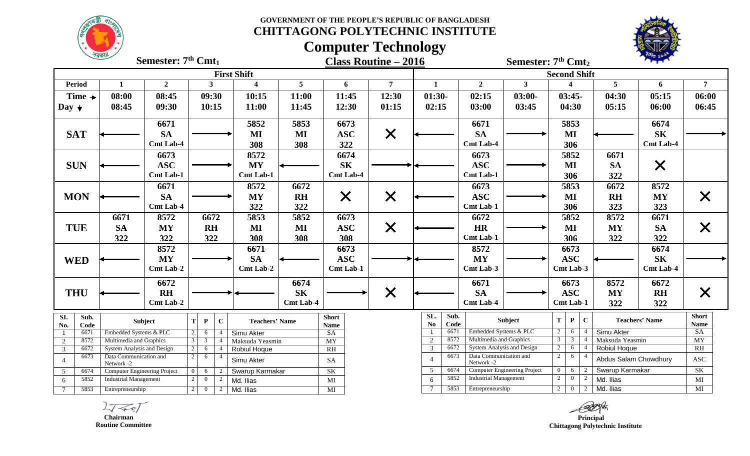**GOVERNMENT OF THE PEOPLE'S REPUBLIC OF BANGLADESH CHITTAGONG POLYTECHNIC INSTITUTE**



### **Computer Technology**



|                                             | <u> সরকার</u>                                        | Semester: $7th$ Cmt <sub>1</sub> |                                                  |                       |                  | <b>Class Routine – 2016</b> |                |                                                           |                              | Semester: 7 <sup>th</sup> Cmt <sub>2</sub> |                                  |                     |                |                                 | <b>ARE SPEAR</b>      |                      |
|---------------------------------------------|------------------------------------------------------|----------------------------------|--------------------------------------------------|-----------------------|------------------|-----------------------------|----------------|-----------------------------------------------------------|------------------------------|--------------------------------------------|----------------------------------|---------------------|----------------|---------------------------------|-----------------------|----------------------|
|                                             |                                                      |                                  |                                                  | <b>First Shift</b>    |                  |                             |                |                                                           |                              |                                            | <b>Second Shift</b>              |                     |                |                                 |                       |                      |
| <b>Period</b>                               | $\mathbf{1}$                                         | $\overline{2}$                   | $\mathbf{3}$                                     | $\boldsymbol{4}$      | $5\overline{)}$  | 6                           | $\overline{7}$ | $\mathbf{1}$                                              | $\overline{2}$               | 3 <sup>1</sup>                             |                                  |                     |                | 5                               | 6                     | $7\overline{ }$      |
| Time $\rightarrow$                          | 08:00                                                | 08:45                            | 09:30                                            | 10:15                 | 11:00            | 11:45                       | 12:30          | $01:30-$                                                  | 02:15                        | $03:00-$                                   |                                  | $03:45-$            |                | 04:30                           | 05:15                 | 06:00                |
| Day $\downarrow$                            | 08:45                                                | 09:30                            | 10:15                                            | 11:00                 | 11:45            | 12:30                       | 01:15          | 02:15                                                     | 03:00                        | 03:45                                      |                                  | 04:30               |                | 05:15                           | 06:00                 | 06:45                |
|                                             |                                                      | 6671                             |                                                  | 5852                  | 5853             | 6673                        |                |                                                           | 6671                         |                                            |                                  | 5853                |                |                                 | 6674                  |                      |
| <b>SAT</b>                                  |                                                      | <b>SA</b>                        |                                                  | MI                    | MI               | <b>ASC</b>                  | $\times$       |                                                           | <b>SA</b>                    |                                            |                                  | MI                  |                |                                 | <b>SK</b>             |                      |
|                                             |                                                      | <b>Cmt Lab-4</b>                 |                                                  | 308                   | 308              | 322                         |                |                                                           | <b>Cmt Lab-4</b>             |                                            |                                  | 306                 |                |                                 | <b>Cmt Lab-4</b>      |                      |
|                                             |                                                      | 6673                             |                                                  | 8572                  |                  | 6674                        |                |                                                           | 6673                         |                                            |                                  | 5852                |                | 6671                            |                       |                      |
| <b>SUN</b>                                  |                                                      | <b>ASC</b>                       |                                                  | <b>MY</b>             |                  | <b>SK</b>                   |                |                                                           | <b>ASC</b>                   |                                            |                                  | MI                  |                | <b>SA</b>                       | $\times$              |                      |
|                                             |                                                      | Cmt Lab-1                        |                                                  | <b>Cmt Lab-1</b>      |                  | <b>Cmt Lab-4</b>            |                |                                                           | Cmt Lab-1                    |                                            |                                  | 306                 |                | 322                             |                       |                      |
|                                             |                                                      | 6671                             |                                                  | 8572                  | 6672             |                             |                |                                                           | 6673                         |                                            |                                  | 5853                |                | 6672                            | 8572                  |                      |
| <b>MON</b>                                  |                                                      | <b>SA</b>                        |                                                  | <b>MY</b>             | <b>RH</b>        | X                           | $\times$       |                                                           | <b>ASC</b>                   |                                            |                                  | MI                  |                | <b>RH</b>                       | <b>MY</b>             | $\bm{\times}$        |
|                                             |                                                      | <b>Cmt Lab-4</b>                 |                                                  | 322                   | 322              |                             |                |                                                           | Cmt Lab-1                    |                                            |                                  | 306                 |                | 323                             | 323                   |                      |
|                                             | 6671                                                 | 8572                             | 6672                                             | 5853                  | 5852             | 6673                        |                |                                                           | 6672                         |                                            |                                  | 5852                |                | 8572                            | 6671                  |                      |
| <b>TUE</b>                                  | <b>SA</b>                                            | <b>MY</b>                        | <b>RH</b>                                        | MI                    | $\bf MI$         | <b>ASC</b>                  | $\times$       |                                                           | <b>HR</b>                    |                                            |                                  | MI                  |                | <b>MY</b>                       | <b>SA</b>             | $\bm{\mathsf{X}}$    |
|                                             | 322                                                  | 322                              | 322                                              | 308                   | 308              | 308                         |                |                                                           | Cmt Lab-1                    |                                            |                                  | 306                 |                | 322                             | 322                   |                      |
|                                             |                                                      | 8572                             |                                                  | 6671                  |                  | 6673                        |                |                                                           | 8572                         |                                            |                                  | 6673                |                |                                 | 6674                  |                      |
| <b>WED</b>                                  |                                                      | <b>MY</b>                        |                                                  | <b>SA</b>             |                  | <b>ASC</b>                  |                |                                                           | <b>MY</b>                    |                                            |                                  | <b>ASC</b>          |                |                                 | <b>SK</b>             |                      |
|                                             |                                                      | Cmt Lab-2                        |                                                  | Cmt Lab-2             |                  | <b>Cmt Lab-1</b>            |                |                                                           | Cmt Lab-3                    |                                            |                                  | Cmt Lab-3           |                |                                 | <b>Cmt Lab-4</b>      |                      |
|                                             |                                                      | 6672                             |                                                  |                       | 6674             |                             |                |                                                           | 6671                         |                                            |                                  | 6673                |                | 8572                            | 6672                  |                      |
| <b>THU</b>                                  |                                                      | <b>RH</b>                        |                                                  |                       | <b>SK</b>        |                             | $\times$       |                                                           | <b>SA</b>                    |                                            |                                  | <b>ASC</b>          |                | <b>MY</b>                       | <b>RH</b>             | X                    |
|                                             |                                                      | Cmt Lab-2                        |                                                  |                       | <b>Cmt Lab-4</b> |                             |                |                                                           | <b>Cmt Lab-4</b>             |                                            |                                  | <b>Cmt Lab-1</b>    |                | 322                             | 322                   |                      |
| SI.<br>Sub.<br>No.<br>Code                  |                                                      | <b>Subject</b>                   | $\mathbf C$<br>$\mathbf P$<br>T                  | <b>Teachers' Name</b> |                  | <b>Short</b><br><b>Name</b> |                | SL.<br>Sub.<br>No<br>Code                                 |                              | Subject                                    | T                                | ${\bf P}$           | $\mathbf{C}$   |                                 | <b>Teachers' Name</b> | <b>Short</b><br>Name |
| 6671                                        | Embedded Systems & PLC                               |                                  | $\overline{2}$<br>6                              | Simu Akter            |                  | SA                          |                | 6671<br>-1                                                | Embedded Systems & PLC       |                                            | 2                                | 6                   | $\overline{4}$ | Simu Akter                      |                       | SA                   |
| 8572<br>2                                   | Multimedia and Graphics                              |                                  | $\overline{3}$<br>$\mathbf{3}$<br>$\overline{4}$ | Maksuda Yeasmin       |                  | <b>MY</b>                   |                | $\overline{2}$<br>8572<br>$\overline{\mathbf{3}}$<br>6672 | Multimedia and Graphics      | System Analysis and Design                 | $\overline{3}$<br>2              | $\overline{3}$<br>6 | $\overline{4}$ | Maksuda Yeasmin<br>Robiul Hoque |                       | MY<br><b>RH</b>      |
| 6672<br>3<br>6673                           | System Analysis and Design<br>Data Communication and |                                  | 2<br>6<br>2<br>6<br>$\overline{4}$               | Robiul Hoque          |                  | RH                          |                | 6673                                                      | Data Communication and       |                                            | 2                                | 6                   |                |                                 |                       |                      |
| $\overline{4}$                              | Network -2                                           |                                  |                                                  | Simu Akter            |                  | SA                          |                | $\overline{4}$                                            | Network -2                   |                                            |                                  |                     |                | Abdus Salam Chowdhury           |                       | <b>ASC</b>           |
| 6674<br>5<br>5852                           | Computer Engineering Project                         |                                  | 6<br>$\overline{2}$                              | Swarup Karmakar       |                  | SK                          |                | 6674<br>5<br>5852                                         | <b>Industrial Management</b> | <b>Computer Engineering Project</b>        | $\overline{0}$<br>$\overline{2}$ | 6<br>$\bf{0}$       | 2<br>2         | Swarup Karmakar                 |                       | SK                   |
| 6                                           | <b>Industrial Management</b>                         |                                  | $\overline{0}$<br>2                              | Md. Ilias             |                  | $\rm MI$                    |                | 6<br>5853                                                 | Entrepreneurship             |                                            |                                  | $2 \mid 0$          | 2              | Md. Ilias<br>Md. Ilias          |                       | MI<br>MI             |
| 5853<br>$7\overline{ }$<br>Entrepreneurship |                                                      |                                  | 2<br>$\overline{0}$<br>2                         | Md. Ilias             |                  | MI                          |                |                                                           |                              |                                            |                                  |                     |                |                                 |                       |                      |

 $L\sqrt{2}$ 

 **Chairman Routine Committee**

*Principal*  **Chittagong Polytechnic Institute**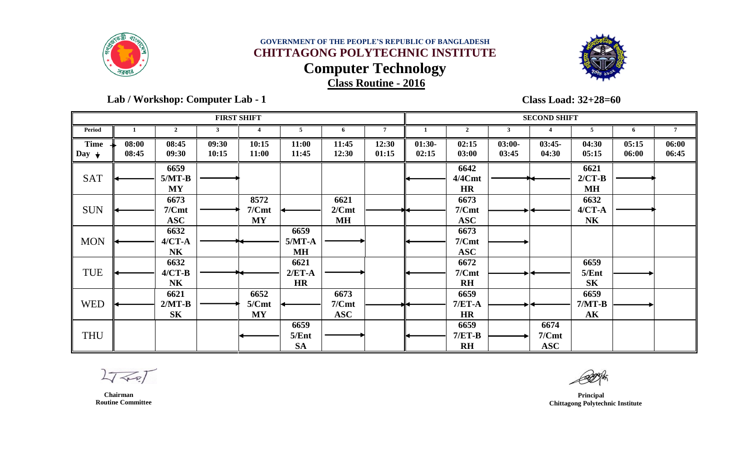



 **Lab / Workshop: Computer Lab - 1** 

**Class Load: 32+28=60**

|                                 |                |                               |                | <b>FIRST SHIFT</b>         |                            |                             |                |                   |                                    |                   | <b>SECOND SHIFT</b>         |                                   |                |                |
|---------------------------------|----------------|-------------------------------|----------------|----------------------------|----------------------------|-----------------------------|----------------|-------------------|------------------------------------|-------------------|-----------------------------|-----------------------------------|----------------|----------------|
| <b>Period</b>                   |                | $\overline{2}$                | 3              | 4                          | 5                          | -6                          | $\overline{7}$ | 1                 | $\overline{2}$                     | 3                 |                             | 5                                 | 6              | 7              |
| <b>Time</b><br>Day $\downarrow$ | 08:00<br>08:45 | 08:45<br>09:30                | 09:30<br>10:15 | 10:15<br>11:00             | 11:00<br>11:45             | 11:45<br>12:30              | 12:30<br>01:15 | $01:30-$<br>02:15 | 02:15<br>03:00                     | $03:00-$<br>03:45 | $03:45-$<br>04:30           | 04:30<br>05:15                    | 05:15<br>06:00 | 06:00<br>06:45 |
| <b>SAT</b>                      |                | 6659<br>$5/MT-B$<br><b>MY</b> |                |                            |                            |                             |                |                   | 6642<br>4/4Cmt<br><b>HR</b>        |                   |                             | 6621<br>$2/CT-B$<br>MH            |                |                |
| <b>SUN</b>                      |                | 6673<br>7/Cmt<br><b>ASC</b>   |                | 8572<br>7/Cmt<br><b>MY</b> |                            | 6621<br>2/Cmt<br><b>MH</b>  |                |                   | 6673<br>7/Cmt<br><b>ASC</b>        |                   |                             | 6632<br>$4/CT - A$<br><b>NK</b>   |                |                |
| <b>MON</b>                      |                | 6632<br>$4/CT-A$<br><b>NK</b> |                |                            | 6659<br>$5/MT-A$<br>MH     |                             |                |                   | 6673<br>7/Cmt<br><b>ASC</b>        |                   |                             |                                   |                |                |
| TUE                             |                | 6632<br>$4/CT-B$<br><b>NK</b> |                |                            | 6621<br>$2/ET-A$<br>HR     |                             |                |                   | 6672<br>7/Cmt<br>$R$ H             |                   |                             | 6659<br>5/Ent<br>S <sub>K</sub>   |                |                |
| <b>WED</b>                      |                | 6621<br>$2/MT-B$<br><b>SK</b> |                | 6652<br>5/Cmt<br><b>MY</b> |                            | 6673<br>7/Cmt<br><b>ASC</b> |                |                   | 6659<br>$7/ET-A$<br><b>HR</b>      |                   |                             | 6659<br>$7/MT-B$<br>$\mathbf{AK}$ |                |                |
| <b>THU</b>                      |                |                               |                |                            | 6659<br>5/Ent<br><b>SA</b> |                             |                |                   | 6659<br>$7/ET-B$<br>R <sub>H</sub> |                   | 6674<br>7/Cmt<br><b>ASC</b> |                                   |                |                |

 $2777$ 

 **Chairman Routine Committee**

 **Principal Chittagong Polytechnic Institute**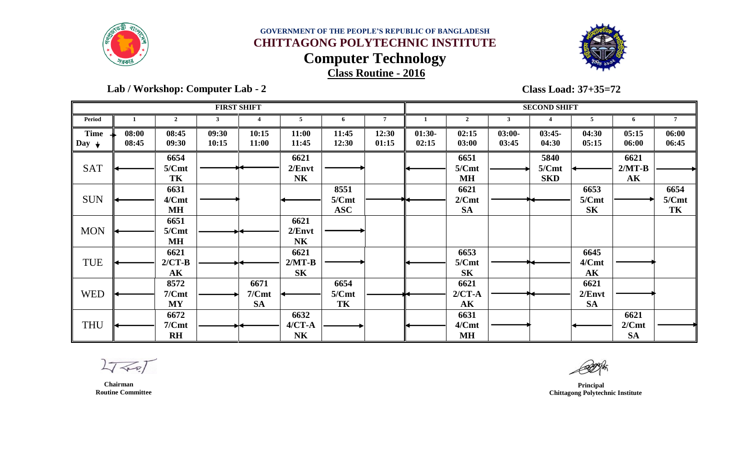



 **Lab / Workshop: Computer Lab - 2** 

**Class Load: 37+35=72**

|                           |                |                        |                | <b>FIRST SHIFT</b> |                |                |                |                   |                |                   | <b>SECOND SHIFT</b> |                |                  |                 |
|---------------------------|----------------|------------------------|----------------|--------------------|----------------|----------------|----------------|-------------------|----------------|-------------------|---------------------|----------------|------------------|-----------------|
| Period                    |                | $\boldsymbol{2}$       | 3              |                    | 5              | 6              | $\overline{7}$ |                   | $\overline{2}$ | $\mathbf{3}$      |                     | 5              | 6                | $7\overline{ }$ |
| <b>Time</b><br>$\log_{1}$ | 08:00<br>08:45 | 08:45<br>09:30         | 09:30<br>10:15 | 10:15<br>11:00     | 11:00<br>11:45 | 11:45<br>12:30 | 12:30<br>01:15 | $01:30-$<br>02:15 | 02:15<br>03:00 | $03:00-$<br>03:45 | $03:45-$<br>04:30   | 04:30<br>05:15 | 05:15<br>06:00   | 06:00<br>06:45  |
| <b>SAT</b>                |                | 6654<br>5/Cmt          |                |                    | 6621<br>2/Envt |                |                |                   | 6651<br>5/Cmt  |                   | 5840<br>5/Cmt       |                | 6621<br>$2/MT-B$ |                 |
|                           |                | TK                     |                |                    | N <sub>K</sub> |                |                |                   | M <sub>H</sub> |                   | <b>SKD</b>          |                | $\mathbf{AK}$    |                 |
|                           |                | 6631                   |                |                    |                | 8551           |                |                   | 6621           |                   |                     | 6653           |                  | 6654            |
| <b>SUN</b>                |                | 4/Cmt                  |                |                    |                | 5/Cmt          |                |                   | 2/Cmt          |                   |                     | 5/Cmt          |                  | 5/Cmt           |
|                           |                | <b>MH</b>              |                |                    |                | <b>ASC</b>     |                |                   | <b>SA</b>      |                   |                     | <b>SK</b>      |                  | TK              |
|                           |                | 6651                   |                |                    | 6621           |                |                |                   |                |                   |                     |                |                  |                 |
| <b>MON</b>                |                | 5/Cmt                  |                |                    | 2/Envt         |                |                |                   |                |                   |                     |                |                  |                 |
|                           |                | <b>MH</b>              |                |                    | <b>NK</b>      |                |                |                   |                |                   |                     |                |                  |                 |
|                           |                | 6621                   |                |                    | 6621           |                |                |                   | 6653           |                   |                     | 6645           |                  |                 |
| <b>TUE</b>                |                | $2/CT-B$               |                |                    | $2/MT-B$       |                |                |                   | 5/Cmt          |                   |                     | 4/Cmt          |                  |                 |
|                           |                | $\mathbf{A}\mathbf{K}$ |                |                    | S <sub>K</sub> |                |                |                   | S <sub>K</sub> |                   |                     | $\mathbf{AK}$  |                  |                 |
|                           |                | 8572                   |                | 6671               |                | 6654           |                |                   | 6621           |                   |                     | 6621           |                  |                 |
| <b>WED</b>                |                | 7/Cmt                  |                | 7/Cmt              |                | 5/Cmt          |                |                   | $2/CT-A$       |                   |                     | 2/Envt         |                  |                 |
|                           |                | <b>MY</b>              |                | <b>SA</b>          |                | TK             |                |                   | $\mathbf{AK}$  |                   |                     | <b>SA</b>      |                  |                 |
|                           |                | 6672                   |                |                    | 6632           |                |                |                   | 6631           |                   |                     |                | 6621             |                 |
| <b>THU</b>                |                | 7/Cmt                  |                |                    | $4/CT - A$     |                |                |                   | 4/Cmt          |                   |                     |                | 2/Cmt            |                 |
|                           |                | R <sub>H</sub>         |                |                    | N <sub>K</sub> |                |                |                   | M <sub>H</sub> |                   |                     |                | <b>SA</b>        |                 |

 $2777$ 

 **Principal Chittagong Polytechnic Institute**

 **Chairman Routine Committee**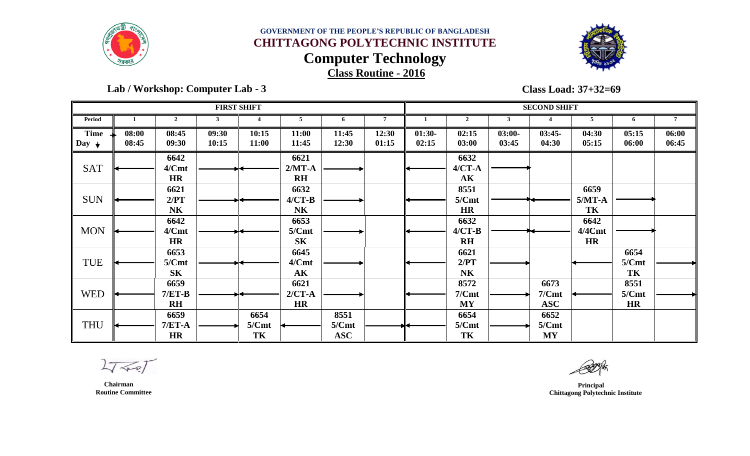



 **Lab / Workshop: Computer Lab - 3** 

**Class Load: 37+32=69**

|                                 |                |                                 | <b>FIRST SHIFT</b> |                     |                                         |                             |                |                   |                                     |                   | <b>SECOND SHIFT</b>         |                             |                            |                |
|---------------------------------|----------------|---------------------------------|--------------------|---------------------|-----------------------------------------|-----------------------------|----------------|-------------------|-------------------------------------|-------------------|-----------------------------|-----------------------------|----------------------------|----------------|
| Period                          |                | $\mathcal{D}$                   |                    |                     |                                         | 6                           | $\overline{7}$ |                   | $\mathbf{2}$                        |                   |                             |                             | 6                          | 7              |
| <b>Time</b><br>Day $\downarrow$ | 08:00<br>08:45 | 08:45<br>09:30                  | 09:30<br>10:15     | 10:15<br>11:00      | 11:00<br>11:45                          | 11:45<br>12:30              | 12:30<br>01:15 | $01:30-$<br>02:15 | 02:15<br>03:00                      | $03:00-$<br>03:45 | $03:45-$<br>04:30           | 04:30<br>05:15              | 05:15<br>06:00             | 06:00<br>06:45 |
| <b>SAT</b>                      |                | 6642<br>4/Cmt<br><b>HR</b>      |                    |                     | 6621<br>$2/MT-A$<br>$R$ H               |                             |                |                   | 6632<br>$4/CT - A$<br>$\mathbf{AK}$ |                   |                             |                             |                            |                |
| <b>SUN</b>                      |                | 6621<br>2/PT<br><b>NK</b>       |                    |                     | 6632<br>$4/CT-B$<br>N <sub>K</sub>      |                             |                |                   | 8551<br>5/Cmt<br><b>HR</b>          |                   |                             | 6659<br>$5/MT-A$<br>TK      |                            |                |
| <b>MON</b>                      |                | 6642<br>4/Cmt<br><b>HR</b>      |                    |                     | 6653<br>5/Cmt<br><b>SK</b>              |                             |                |                   | 6632<br>$4/CT-B$<br>$R$ H           |                   |                             | 6642<br>4/4Cmt<br><b>HR</b> |                            |                |
| TUE                             |                | 6653<br>5/Cmt<br>S <sub>K</sub> |                    |                     | 6645<br>4/Cmt<br>$\mathbf{A}\mathbf{K}$ |                             |                |                   | 6621<br>2/PT<br>N <sub>K</sub>      |                   |                             |                             | 6654<br>5/Cmt<br>TK        |                |
| <b>WED</b>                      |                | 6659<br>$7/ET-B$<br>$R$ H       |                    |                     | 6621<br>$2/CT-A$<br><b>HR</b>           |                             |                |                   | 8572<br>7/Cmt<br><b>MY</b>          |                   | 6673<br>7/Cmt<br><b>ASC</b> |                             | 8551<br>5/Cmt<br><b>HR</b> |                |
| <b>THU</b>                      |                | 6659<br>$7/ET-A$<br>HR          |                    | 6654<br>5/Cmt<br>TK |                                         | 8551<br>5/Cmt<br><b>ASC</b> |                |                   | 6654<br>5/Cmt<br>TK                 |                   | 6652<br>5/Cmt<br><b>MY</b>  |                             |                            |                |

 $2777$ 

 **Principal Chittagong Polytechnic Institute**

 **Chairman Routine Committee**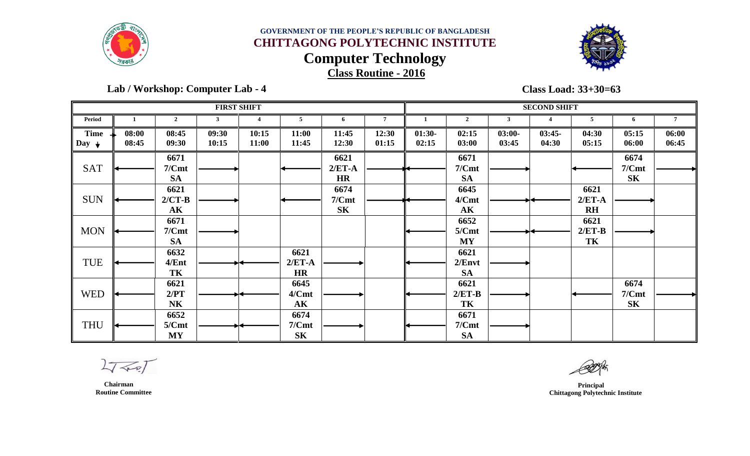



 **Lab / Workshop: Computer Lab - 4** 

**Class Load: 33+30=63**

|                                 |                |                                         |                | <b>FIRST SHIFT</b> |                                         |                               |                |                   |                                |                   | <b>SECOND SHIFT</b> |                           |                                 |                |
|---------------------------------|----------------|-----------------------------------------|----------------|--------------------|-----------------------------------------|-------------------------------|----------------|-------------------|--------------------------------|-------------------|---------------------|---------------------------|---------------------------------|----------------|
| Period                          |                | $\overline{2}$                          | 3              |                    | 5                                       | 6                             | $\overline{7}$ |                   | $\overline{2}$                 | $\mathbf{3}$      |                     | 5                         | 6                               | 7              |
| <b>Time</b><br>Day $\downarrow$ | 08:00<br>08:45 | 08:45<br>09:30                          | 09:30<br>10:15 | 10:15<br>11:00     | 11:00<br>11:45                          | 11:45<br>12:30                | 12:30<br>01:15 | $01:30-$<br>02:15 | 02:15<br>03:00                 | $03:00-$<br>03:45 | $03:45-$<br>04:30   | 04:30<br>05:15            | 05:15<br>06:00                  | 06:00<br>06:45 |
| <b>SAT</b>                      |                | 6671<br>7/Cmt<br><b>SA</b>              |                |                    |                                         | 6621<br>$2/ET-A$<br><b>HR</b> |                |                   | 6671<br>7/Cmt<br><b>SA</b>     |                   |                     |                           | 6674<br>7/Cmt<br>S <sub>K</sub> |                |
| <b>SUN</b>                      |                | 6621<br>$2/CT-B$<br>$\mathbf{AK}$       |                |                    |                                         | 6674<br>7/Cmt<br><b>SK</b>    |                |                   | 6645<br>4/Cmt<br>$\mathbf{AK}$ |                   |                     | 6621<br>$2/ET-A$<br>$R$ H |                                 |                |
| <b>MON</b>                      |                | 6671<br>7/Cmt<br><b>SA</b>              |                |                    |                                         |                               |                |                   | 6652<br>5/Cmt<br><b>MY</b>     |                   |                     | 6621<br>$2/ET-B$<br>TK    |                                 |                |
| TUE                             |                | 6632<br>4/Ent<br>TK                     |                |                    | 6621<br>$2/ET-A$<br><b>HR</b>           |                               |                |                   | 6621<br>2/Envt<br><b>SA</b>    |                   |                     |                           |                                 |                |
| <b>WED</b>                      |                | 6621<br>2/PT<br>N <sub>K</sub>          |                |                    | 6645<br>4/Cmt<br>$\mathbf{A}\mathbf{K}$ |                               |                |                   | 6621<br>$2/ET-B$<br>TK         |                   |                     |                           | 6674<br>7/Cmt<br>S <sub>K</sub> |                |
| <b>THU</b>                      |                | 6652<br>5/Cmt<br>$\mathbf{M}\mathbf{Y}$ |                |                    | 6674<br>7/Cmt<br>S <sub>K</sub>         |                               |                |                   | 6671<br>7/Cmt<br><b>SA</b>     |                   |                     |                           |                                 |                |

 $2777$ 

 **Principal Chittagong Polytechnic Institute**

 **Chairman Routine Committee**